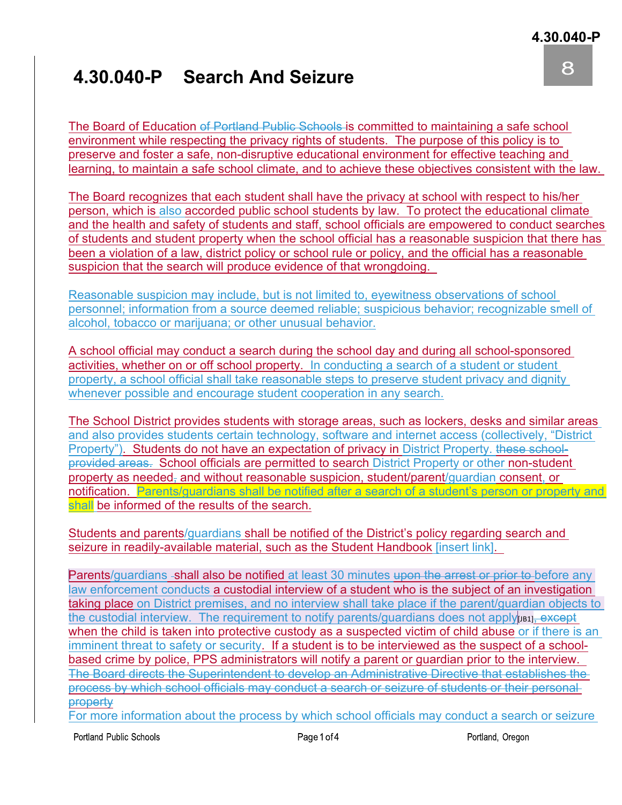## **4.30.040-P Search And Seizure**

8

The Board of Education of Portland Public Schools is committed to maintaining a safe school environment while respecting the privacy rights of students. The purpose of this policy is to preserve and foster a safe, non-disruptive educational environment for effective teaching and learning, to maintain a safe school climate, and to achieve these objectives consistent with the law.

The Board recognizes that each student shall have the privacy at school with respect to his/her person, which is also accorded public school students by law. To protect the educational climate and the health and safety of students and staff, school officials are empowered to conduct searches of students and student property when the school official has a reasonable suspicion that there has been a violation of a law, district policy or school rule or policy, and the official has a reasonable suspicion that the search will produce evidence of that wrongdoing.

Reasonable suspicion may include, but is not limited to, eyewitness observations of school personnel; information from a source deemed reliable; suspicious behavior; recognizable smell of alcohol, tobacco or marijuana; or other unusual behavior.

A school official may conduct a search during the school day and during all school-sponsored activities, whether on or off school property. In conducting a search of a student or student property, a school official shall take reasonable steps to preserve student privacy and dignity whenever possible and encourage student cooperation in any search.

The School District provides students with storage areas, such as lockers, desks and similar areas and also provides students certain technology, software and internet access (collectively, "District Property"). Students do not have an expectation of privacy in District Property. these schoolprovided areas. School officials are permitted to search District Property or other non-student property as needed, and without reasonable suspicion, student/parent/guardian consent, or notification. Parents/guardians shall be notified after a search of a student's person or property and shall be informed of the results of the search.

Students and parents/guardians shall be notified of the District's policy regarding search and seizure in readily-available material, such as the Student Handbook [insert link].

Parents/guardians -shall also be notified at least 30 minutes upon the arrest or prior to before any law enforcement conducts a custodial interview of a student who is the subject of an investigation taking place on District premises, and no interview shall take place if the parent/guardian objects to the custodial interview. The requirement to notify parents/guardians does not apply $\mu_{\text{B1}}$ , except when the child is taken into protective custody as a suspected victim of child abuse or if there is an imminent threat to safety or security. If a student is to be interviewed as the suspect of a schoolbased crime by police, PPS administrators will notify a parent or guardian prior to the interview. The Board directs the Superintendent to develop an Administrative Directive that establishes the process by which school officials may conduct a search or seizure of students or their personal property

For more information about the process by which school officials may conduct a search or seizure

Portland Public Schools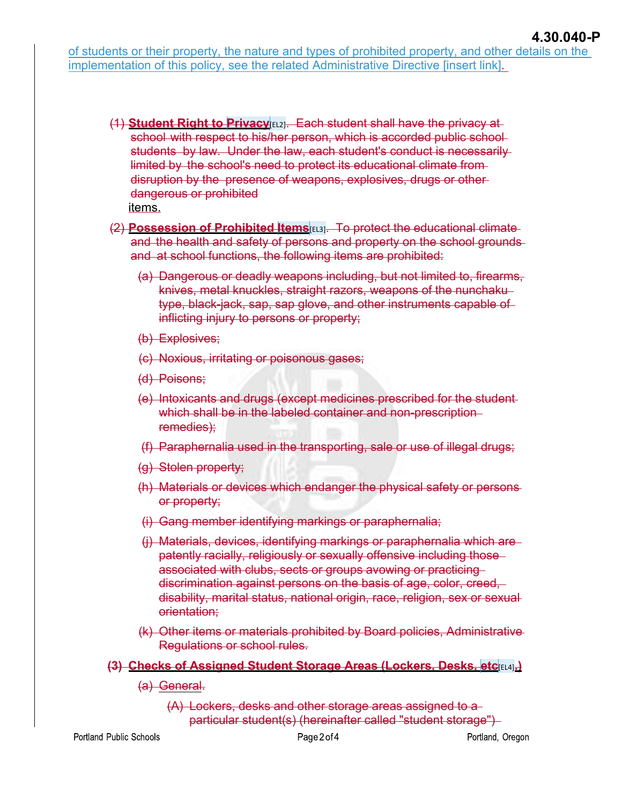of students or their property, the nature and types of prohibited property, and other details on the implementation of this policy, see the related Administrative Directive [insert link].

- (1) **Student Right to Privacy**[EL2]. Each student shall have the privacy at school with respect to his/her person, which is accorded public schoolstudents by law. Under the law, each student's conduct is necessarily limited by the school's need to protect its educational climate from disruption by the presence of weapons, explosives, drugs or other dangerous or prohibited
	- items.
- (2) **Possession of Prohibited Items**[EL3]. To protect the educational climate and the health and safety of persons and property on the school grounds and at school functions, the following items are prohibited:
	- (a) Dangerous or deadly weapons including, but not limited to, firearms, knives, metal knuckles, straight razors, weapons of the nunchaku type, black-jack, sap, sap glove, and other instruments capable of inflicting injury to persons or property;
	- (b) Explosives;
	- (c) Noxious, irritating or poisonous gases;
	- (d) Poisons;
	- (e) Intoxicants and drugs (except medicines prescribed for the student which shall be in the labeled container and non-prescriptionremedies);
	- (f) Paraphernalia used in the transporting, sale or use of illegal drugs;
	- (g) Stolen property;
	- (h) Materials or devices which endanger the physical safety or persons or property;
	- (i) Gang member identifying markings or paraphernalia;
	- (j) Materials, devices, identifying markings or paraphernalia which are patently racially, religiously or sexually offensive including those associated with clubs, sects or groups avowing or practicing discrimination against persons on the basis of age, color, creed, disability, marital status, national origin, race, religion, sex or sexual orientation;
	- (k) Other items or materials prohibited by Board policies, Administrative Regulations or school rules.
- **(3) Checks of Assigned Student Storage Areas (Lockers, Desks, etc**[EL4]**.)**
	- (a) General.
		- (A) Lockers, desks and other storage areas assigned to a particular student(s) (hereinafter called "student storage")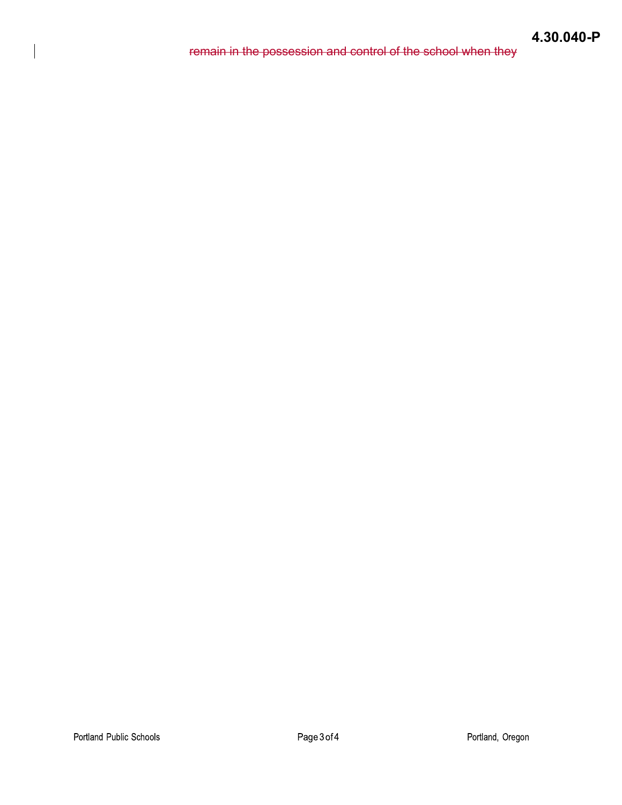## **4.30.040-P**

remain in the possession and control of the school when they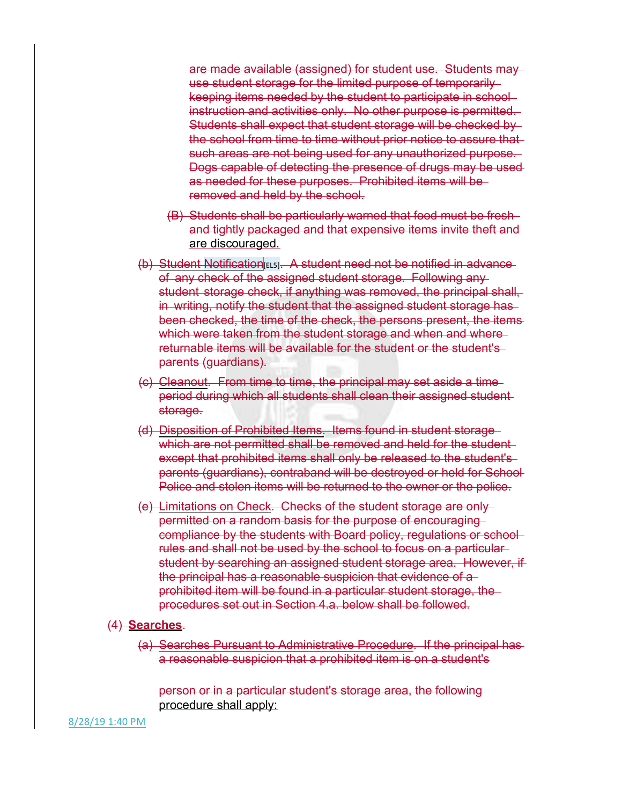are made available (assigned) for student use. Students may use student storage for the limited purpose of temporarily keeping items needed by the student to participate in school instruction and activities only. No other purpose is permitted. Students shall expect that student storage will be checked by the school from time to time without prior notice to assure that such areas are not being used for any unauthorized purpose. Dogs capable of detecting the presence of drugs may be used as needed for these purposes. Prohibited items will be removed and held by the school.

- (B) Students shall be particularly warned that food must be fresh and tightly packaged and that expensive items invite theft and are discouraged.
- (b) Student Notification[EL5]. A student need not be notified in advance of any check of the assigned student storage. Following any student storage check, if anything was removed, the principal shall, in writing, notify the student that the assigned student storage has been checked, the time of the check, the persons present, the items which were taken from the student storage and when and where returnable items will be available for the student or the student's parents (guardians).
- (c) Cleanout. From time to time, the principal may set aside a time period during which all students shall clean their assigned student storage.
- (d) Disposition of Prohibited Items. Items found in student storage which are not permitted shall be removed and held for the student except that prohibited items shall only be released to the student's parents (guardians), contraband will be destroyed or held for School Police and stolen items will be returned to the owner or the police.
- (e) Limitations on Check. Checks of the student storage are only permitted on a random basis for the purpose of encouraging compliance by the students with Board policy, regulations or school rules and shall not be used by the school to focus on a particular student by searching an assigned student storage area. However, if the principal has a reasonable suspicion that evidence of a prohibited item will be found in a particular student storage, the procedures set out in Section 4.a. below shall be followed.

## (4) **Searches**.

(a) Searches Pursuant to Administrative Procedure. If the principal has a reasonable suspicion that a prohibited item is on a student's

person or in a particular student's storage area, the following procedure shall apply:

8/28/19 1:40 PM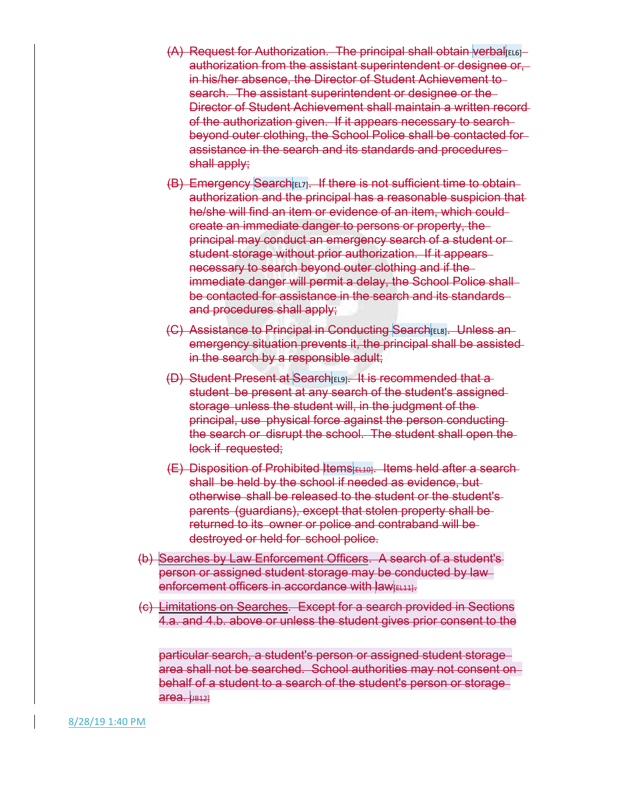- $(A)$  Request for Authorization. The principal shall obtain verbal  $[ELG]$ authorization from the assistant superintendent or designee or, in his/her absence, the Director of Student Achievement to search. The assistant superintendent or designee or the Director of Student Achievement shall maintain a written record of the authorization given. If it appears necessary to search beyond outer clothing, the School Police shall be contacted for assistance in the search and its standards and procedures shall apply:
- (B) Emergency Search [EL7]. If there is not sufficient time to obtainauthorization and the principal has a reasonable suspicion that he/she will find an item or evidence of an item, which could create an immediate danger to persons or property, the principal may conduct an emergency search of a student or student storage without prior authorization. If it appears necessary to search beyond outer clothing and if the immediate danger will permit a delay, the School Police shallbe contacted for assistance in the search and its standards and procedures shall apply;
- (C) Assistance to Principal in Conducting Search [EL8]. Unless anemergency situation prevents it, the principal shall be assisted in the search by a responsible adult;
- (D) Student Present at Search EL9]. It is recommended that a student be present at any search of the student's assigned storage unless the student will, in the judgment of the principal, use physical force against the person conducting the search or disrupt the school. The student shall open the lock if requested;
- $(E)$  Disposition of Prohibited Items  $E[LE]$ . Items held after a searchshall be held by the school if needed as evidence, but otherwise shall be released to the student or the student's parents (guardians), except that stolen property shall be returned to its owner or police and contraband will be destroyed or held for school police.
- (b) Searches by Law Enforcement Officers. A search of a student's person or assigned student storage may be conducted by law enforcement officers in accordance with law **EL11**.
- (c) Limitations on Searches. Except for a search provided in Sections 4.a. and 4.b. above or unless the student gives prior consent to the

particular search, a student's person or assigned student storage area shall not be searched. School authorities may not consent on behalf of a student to a search of the student's person or storage area. [JB12]

8/28/19 1:40 PM